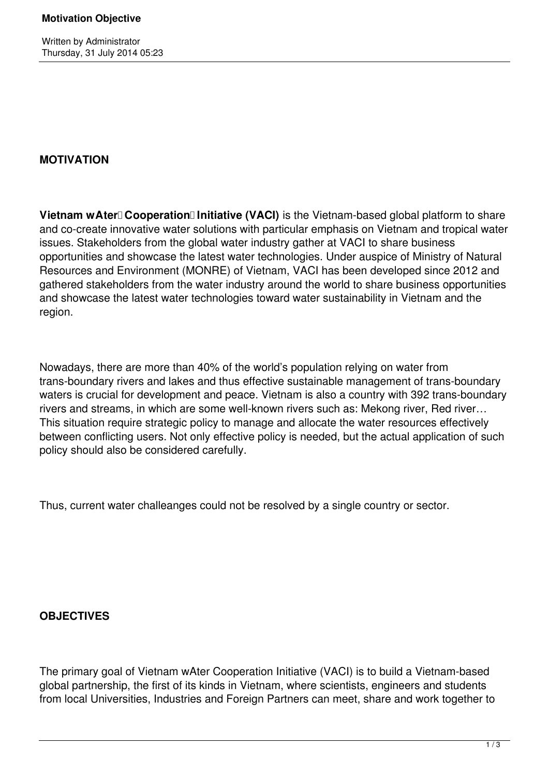Written by Administrator Thursday, 31 July 2014 05:23

## **MOTIVATION**

**Vietnam wAter Cooperation Initiative (VACI)** is the Vietnam-based global platform to share and co-create innovative water solutions with particular emphasis on Vietnam and tropical water issues. Stakeholders from the global water industry gather at VACI to share business opportunities and showcase the latest water technologies. Under auspice of Ministry of Natural Resources and Environment (MONRE) of Vietnam, VACI has been developed since 2012 and gathered stakeholders from the water industry around the world to share business opportunities and showcase the latest water technologies toward water sustainability in Vietnam and the region.

Nowadays, there are more than 40% of the world's population relying on water from trans-boundary rivers and lakes and thus effective sustainable management of trans-boundary waters is crucial for development and peace. Vietnam is also a country with 392 trans-boundary rivers and streams, in which are some well-known rivers such as: Mekong river, Red river… This situation require strategic policy to manage and allocate the water resources effectively between conflicting users. Not only effective policy is needed, but the actual application of such policy should also be considered carefully.

Thus, current water challeanges could not be resolved by a single country or sector.

## **OBJECTIVES**

The primary goal of Vietnam wAter Cooperation Initiative (VACI) is to build a Vietnam‐based global partnership, the first of its kinds in Vietnam, where scientists, engineers and students from local Universities, Industries and Foreign Partners can meet, share and work together to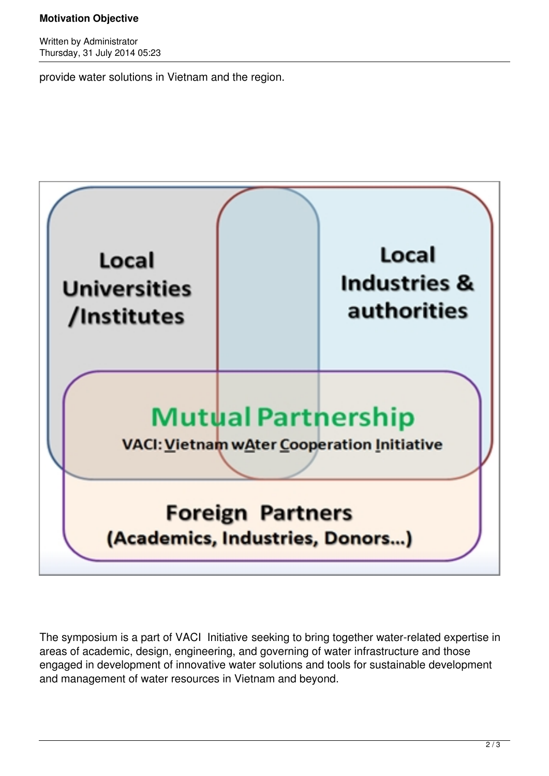## **Motivation Objective**

Written by Administrator Thursday, 31 July 2014 05:23

provide water solutions in Vietnam and the region.



The symposium is a part of VACI Initiative seeking to bring together water-related expertise in areas of academic, design, engineering, and governing of water infrastructure and those engaged in development of innovative water solutions and tools for sustainable development and management of water resources in Vietnam and beyond.